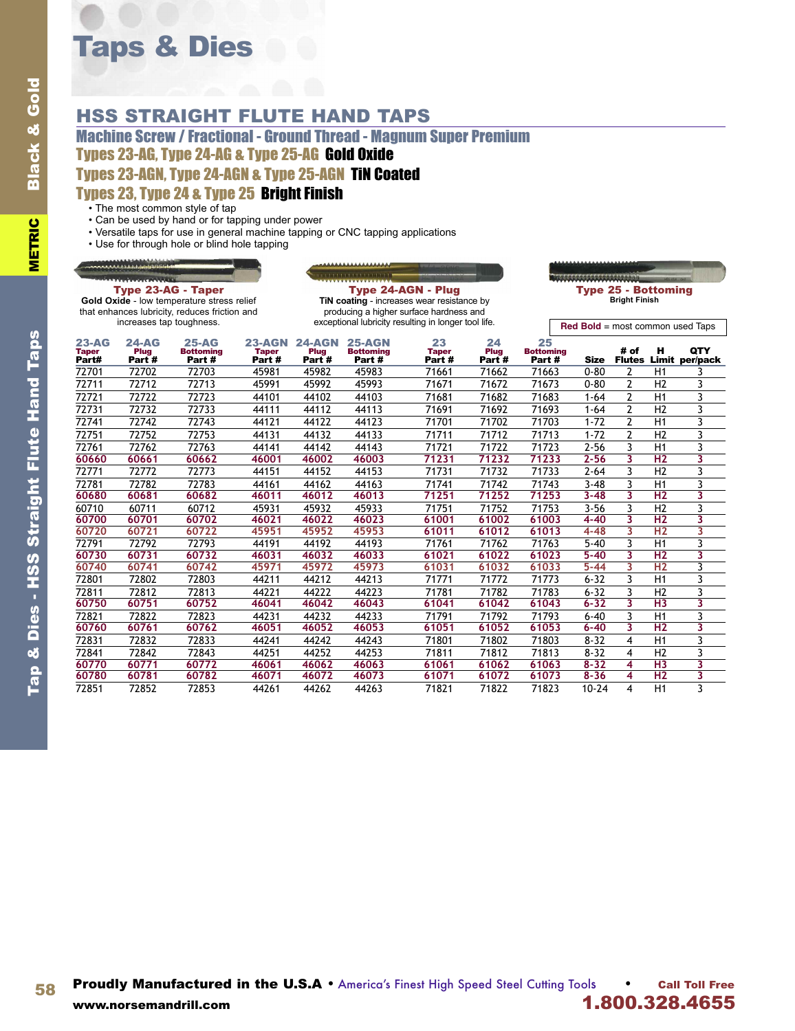# Taps & Dies

## HSS STRAIGHT FLUTE HAND TAPS

Machine Screw / Fractional - Ground Thread - Magnum Super Premium Types 23-AG, Type 24-AG & Type 25-AG Gold Oxide Types 23-AGN, Type 24-AGN & Type 25-AGN TiN Coated

#### Types 23, Type 24 & Type 25 Bright Finish

• The most common style of tap

- Can be used by hand or for tapping under power
- Versatile taps for use in general machine tapping or CNC tapping applications
- Use for through hole or blind hole tapping

#### **RANALES**



Type 23-AG - Taper **Gold Oxide** - low temperature stress relief that enhances lubricity, reduces friction and increases tap toughness.

Type 24-AGN - Plug **TiN coating** - increases wear resistance by producing a higher surface hardness and exceptional lubricity resulting in longer tool life.

**Red Bold** = most common used Taps

| $23 - AG$<br><b>Taper</b><br>Part# | 24-AG<br>Plug<br>Part # | $25 - AG$<br><b>Bottoming</b><br>Part# | <b>23-AGN</b><br><b>Taper</b><br>Part # | $24 - AGN$<br>Plug<br>Part # | <b>25-AGN</b><br><b>Bottoming</b><br>Part# | 23<br><b>Taper</b><br>Part # | 24<br>Plug<br>Part # | 25<br><b>Bottoming</b><br>Part # | <b>Size</b> | # of           | н               | <b>QTY</b><br><b>Flutes Limit per/pack</b> |
|------------------------------------|-------------------------|----------------------------------------|-----------------------------------------|------------------------------|--------------------------------------------|------------------------------|----------------------|----------------------------------|-------------|----------------|-----------------|--------------------------------------------|
| 72701                              | 72702                   | 72703                                  | 45981                                   | 45982                        | 45983                                      | 71661                        | 71662                | 71663                            | $0 - 80$    | 2              | H1              |                                            |
| 72711                              | 72712                   | 72713                                  | 45991                                   | 45992                        | 45993                                      | 71671                        | 71672                | 71673                            | $0 - 80$    | $\overline{2}$ | H <sub>2</sub>  |                                            |
| 72721                              | 72722                   | 72723                                  | 44101                                   | 44102                        | 44103                                      | 71681                        | 71682                | 71683                            | $1 - 64$    | $\overline{2}$ | H1              | 3                                          |
| 72731                              | 72732                   | 72733                                  | 44111                                   | 44112                        | 44113                                      | 71691                        | 71692                | 71693                            | $1 - 64$    | $\overline{2}$ | H <sub>2</sub>  |                                            |
| 72741                              | 72742                   | 72743                                  | 44121                                   | 44122                        | 44123                                      | 71701                        | 71702                | 71703                            | $1 - 72$    | $\overline{2}$ | H1              |                                            |
| 72751                              | 72752                   | 72753                                  | 44131                                   | 44132                        | 44133                                      | 71711                        | 71712                | 71713                            | $1 - 72$    | $\mathfrak{p}$ | H <sub>2</sub>  | 3                                          |
| 72761                              | 72762                   | 72763                                  | 44141                                   | 44142                        | 44143                                      | 71721                        | 71722                | 71723                            | $2 - 56$    | 3              | H1              |                                            |
| 60660                              | 60661                   | 60662                                  | 46001                                   | 46002                        | 46003                                      | 71231                        | 71232                | 71233                            | $2 - 56$    | 3              | H <sub>2</sub>  | 3                                          |
| 72771                              | 72772                   | 72773                                  | 44151                                   | 44152                        | 44153                                      | 71731                        | 71732                | 71733                            | $2 - 64$    | 3              | H <sub>2</sub>  |                                            |
| 72781                              | 72782                   | 72783                                  | 44161                                   | 44162                        | 44163                                      | 71741                        | 71742                | 71743                            | $3 - 48$    | 3              | H1              | 3                                          |
| 60680                              | 60681                   | 60682                                  | 46011                                   | 46012                        | 46013                                      | 71251                        | 71252                | 71253                            | $3 - 48$    | 3              | H <sub>2</sub>  | 3                                          |
| 60710                              | 60711                   | 60712                                  | 45931                                   | 45932                        | 45933                                      | 71751                        | 71752                | 71753                            | $3 - 56$    | 3              | H <sub>2</sub>  |                                            |
| 60700                              | 60701                   | 60702                                  | 46021                                   | 46022                        | 46023                                      | 61001                        | 61002                | 61003                            | $4 - 40$    | 3              | H <sub>2</sub>  | 3                                          |
| 60720                              | 60721                   | 60722                                  | 45951                                   | 45952                        | 45953                                      | 61011                        | 61012                | 61013                            | $4 - 48$    | 3              | H <sub>2</sub>  | 3                                          |
| 72791                              | 72792                   | 72793                                  | 44191                                   | 44192                        | 44193                                      | 71761                        | 71762                | 71763                            | $5 - 40$    | 3              | H1              |                                            |
| 60730                              | 60731                   | 60732                                  | 46031                                   | 46032                        | 46033                                      | 61021                        | 61022                | 61023                            | $5 - 40$    | 3              | H <sub>2</sub>  | 3                                          |
| 60740                              | 60741                   | 60742                                  | 45971                                   | 45972                        | 45973                                      | 61031                        | 61032                | 61033                            | $5 - 44$    | 3              | H <sub>2</sub>  | 3                                          |
| 72801                              | 72802                   | 72803                                  | 44211                                   | 44212                        | 44213                                      | 71771                        | 71772                | 71773                            | $6 - 32$    | 3              | H1              | 3                                          |
| 72811                              | 72812                   | 72813                                  | 44221                                   | 44222                        | 44223                                      | 71781                        | 71782                | 71783                            | $6 - 32$    | 3              | H <sub>2</sub>  |                                            |
| 60750                              | 60751                   | 60752                                  | 46041                                   | 46042                        | 46043                                      | 61041                        | 61042                | 61043                            | $6 - 32$    | 3              | H <sub>3</sub>  | 3                                          |
| 72821                              | 72822                   | 72823                                  | 44231                                   | 44232                        | 44233                                      | 71791                        | 71792                | 71793                            | $6 - 40$    | 3              | H1              | 3                                          |
| 60760                              | 60761                   | 60762                                  | 46051                                   | 46052                        | 46053                                      | 61051                        | 61052                | 61053                            | $6 - 40$    | 3              | $\overline{H2}$ | 3                                          |
| 72831                              | 72832                   | 72833                                  | 44241                                   | 44242                        | 44243                                      | 71801                        | 71802                | 71803                            | $8 - 32$    | 4              | H1              | 3                                          |
| 72841                              | 72842                   | 72843                                  | 44251                                   | 44252                        | 44253                                      | 71811                        | 71812                | 71813                            | $8 - 32$    | 4              | H <sub>2</sub>  |                                            |
| 60770                              | 60771                   | 60772                                  | 46061                                   | 46062                        | 46063                                      | 61061                        | 61062                | 61063                            | $8 - 32$    | 4              | H <sub>3</sub>  | 3                                          |
| 60780                              | 60781                   | 60782                                  | 46071                                   | 46072                        | 46073                                      | 61071                        | 61072                | 61073                            | $8 - 36$    | 4              | H <sub>2</sub>  |                                            |
| 72851                              | 72852                   | 72853                                  | 44261                                   | 44262                        | 44263                                      | 71821                        | 71822                | 71823                            | $10 - 24$   | 4              | H1              | 3                                          |

58 Proudly Manufactured in the U.S.A • America's Finest High Speed Steel Cutting Tools • Call Toll Free www.norsemandrill.com **1.800.328.4655**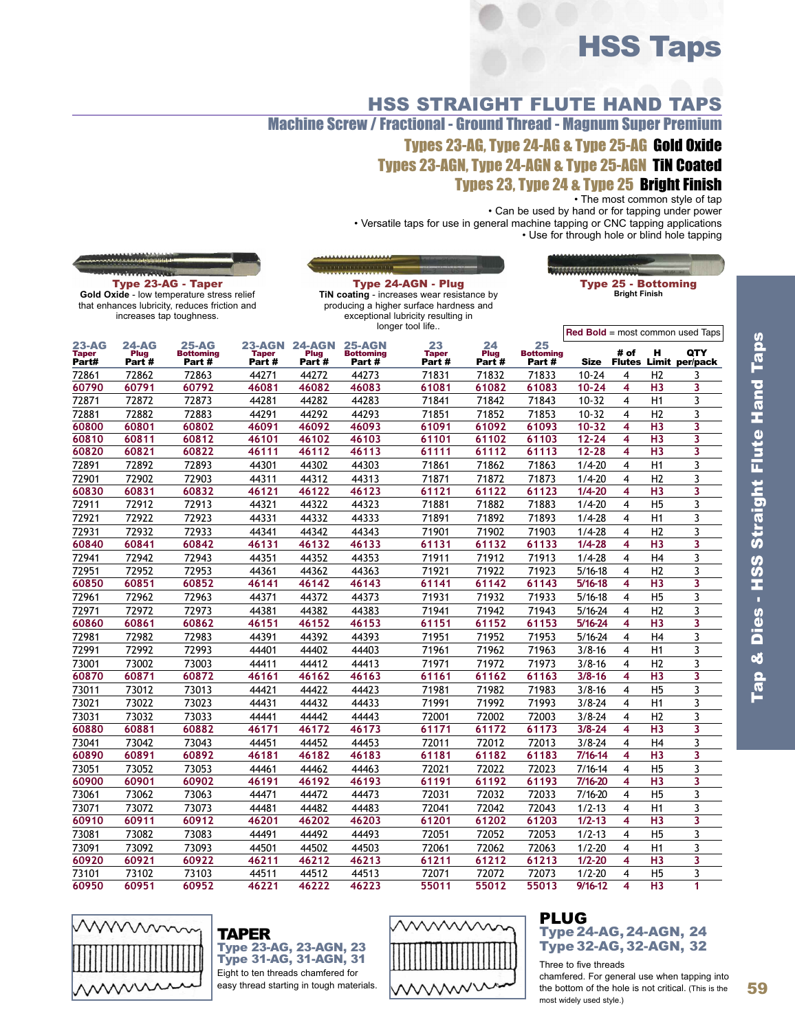# HSS Taps

HSS STRAIGHT FLUTE HAND TAPS Machine Screw / Fractional - Ground Thread - Magnum Super Premium Types 23-AG, Type 24-AG & Type 25-AG Gold Oxide Types 23-AGN, Type 24-AGN & Type 25-AGN TiN Coated Types 23, Type 24 & Type 25 Bright Finish

• The most common style of tap

• Can be used by hand or for tapping under power

• Versatile taps for use in general machine tapping or CNC tapping applications • Use for through hole or blind hole tapping

|                       | <b>Wintern Annual</b> |                                                                         |                       |               | <b><i><u><u> PERSONAL PROPERTY AND A POINT OF THE REAL PROPERTY AND REAL PROPERTY AND REAL PROPERTY AND REAL PROPERTY AND REAL PROPERTY AND REAL PROPERTY AND REAL PROPERTY.</u></u></i></b> |                                                                  |               |                           |             |                                                    |                |                                    |
|-----------------------|-----------------------|-------------------------------------------------------------------------|-----------------------|---------------|----------------------------------------------------------------------------------------------------------------------------------------------------------------------------------------------|------------------------------------------------------------------|---------------|---------------------------|-------------|----------------------------------------------------|----------------|------------------------------------|
|                       |                       | <b>Type 23-AG - Taper</b><br>Gold Oxide - low temperature stress relief |                       |               |                                                                                                                                                                                              | Type 24-AGN - Plug<br>TiN coating - increases wear resistance by |               |                           |             | <b>Type 25 - Bottoming</b><br><b>Bright Finish</b> |                |                                    |
|                       |                       | that enhances lubricity, reduces friction and                           |                       |               |                                                                                                                                                                                              | producing a higher surface hardness and                          |               |                           |             |                                                    |                |                                    |
|                       |                       | increases tap toughness.                                                |                       |               |                                                                                                                                                                                              | exceptional lubricity resulting in                               |               |                           |             |                                                    |                |                                    |
|                       |                       |                                                                         |                       |               |                                                                                                                                                                                              | longer tool life                                                 |               |                           |             |                                                    |                | $Red$ Bold = most common used Taps |
| <b>23-AG</b>          | $24-AG$               | <b>25-AG</b>                                                            | <b>23-AGN</b>         | <b>24-AGN</b> | <b>25-AGN</b>                                                                                                                                                                                | 23                                                               | 24            | 25                        |             |                                                    |                |                                    |
| <b>Taper</b><br>Part# | Plug<br>Part#         | <b>Bottoming</b><br>Part #                                              | <b>Taper</b><br>Part# | Plug<br>Part# | <b>Bottoming</b><br>Part#                                                                                                                                                                    | <b>Taper</b><br>Part #                                           | Plug<br>Part# | <b>Bottoming</b><br>Part# | <b>Size</b> | # of<br><b>Flutes</b>                              | н              | <b>QTY</b><br>Limit per/pack       |
| 72861                 | 72862                 | 72863                                                                   | 44271                 | 44272         | 44273                                                                                                                                                                                        | 71831                                                            | 71832         | 71833                     | $10 - 24$   | 4                                                  | H <sub>2</sub> | 3                                  |
| 60790                 | 60791                 | 60792                                                                   | 46081                 | 46082         | 46083                                                                                                                                                                                        | 61081                                                            | 61082         | 61083                     | $10 - 24$   | 4                                                  | H <sub>3</sub> | 3                                  |
| 72871                 | 72872                 | 72873                                                                   | 44281                 | 44282         | 44283                                                                                                                                                                                        | 71841                                                            | 71842         | 71843                     | $10-32$     | $\overline{\mathbf{4}}$                            | H1             | 3                                  |
| 72881                 | 72882                 | 72883                                                                   | 44291                 | 44292         | 44293                                                                                                                                                                                        | 71851                                                            | 71852         | 71853                     | $10 - 32$   | 4                                                  | H2             | 3                                  |
| 60800                 | 60801                 | 60802                                                                   | 46091                 | 46092         | 46093                                                                                                                                                                                        | 61091                                                            | 61092         | 61093                     | $10 - 32$   | 4                                                  | H <sub>3</sub> | 3                                  |
| 60810                 | 60811                 | 60812                                                                   | 46101                 | 46102         | 46103                                                                                                                                                                                        | 61101                                                            | 61102         | 61103                     | $12 - 24$   | 4                                                  | H <sub>3</sub> | 3                                  |
| 60820                 | 60821                 | 60822                                                                   | 46111                 | 46112         | 46113                                                                                                                                                                                        | 61111                                                            | 61112         | 61113                     | $12 - 28$   | 4                                                  | H <sub>3</sub> | 3                                  |
| 72891                 | 72892                 | 72893                                                                   | 44301                 | 44302         | 44303                                                                                                                                                                                        | 71861                                                            | 71862         | 71863                     | $1/4 - 20$  | 4                                                  | H1             | 3                                  |
| 72901                 | 72902                 | 72903                                                                   | 44311                 | 44312         | 44313                                                                                                                                                                                        | 71871                                                            | 71872         | 71873                     | $1/4 - 20$  | 4                                                  | H2             | 3                                  |
| 60830                 | 60831                 | 60832                                                                   | 46121                 | 46122         | 46123                                                                                                                                                                                        | 61121                                                            | 61122         | 61123                     | $1/4 - 20$  | 4                                                  | H <sub>3</sub> | 3                                  |
| 72911                 | 72912                 | 72913                                                                   | 44321                 | 44322         | 44323                                                                                                                                                                                        | 71881                                                            | 71882         | 71883                     | $1/4 - 20$  | 4                                                  | H <sub>5</sub> | 3                                  |
| 72921                 | 72922                 | 72923                                                                   | 44331                 | 44332         | 44333                                                                                                                                                                                        | 71891                                                            | 71892         | 71893                     | $1/4 - 28$  | 4                                                  | H1             | 3                                  |
| 72931                 | 72932                 | 72933                                                                   | 44341                 | 44342         | 44343                                                                                                                                                                                        | 71901                                                            | 71902         | 71903                     | $1/4 - 28$  | 4                                                  | H <sub>2</sub> | 3                                  |
| 60840                 | 60841                 | 60842                                                                   | 46131                 | 46132         | 46133                                                                                                                                                                                        | 61131                                                            | 61132         | 61133                     | $1/4 - 28$  | 4                                                  | H3             | 3                                  |
| 72941                 | 72942                 | 72943                                                                   | 44351                 | 44352         | 44353                                                                                                                                                                                        | 71911                                                            | 71912         | 71913                     | $1/4 - 28$  | 4                                                  | H <sub>4</sub> | 3                                  |
| 72951                 | 72952                 | 72953                                                                   | 44361                 | 44362         | 44363                                                                                                                                                                                        | 71921                                                            | 71922         | 71923                     | $5/16 - 18$ | 4                                                  | H <sub>2</sub> | 3                                  |
| 60850                 | 60851                 | 60852                                                                   | 46141                 | 46142         | 46143                                                                                                                                                                                        | 61141                                                            | 61142         | 61143                     | $5/16 - 18$ | 4                                                  | H <sub>3</sub> | 3                                  |
| 72961                 | 72962                 | 72963                                                                   | 44371                 | 44372         | 44373                                                                                                                                                                                        | 71931                                                            | 71932         | 71933                     | $5/16 - 18$ | 4                                                  | H <sub>5</sub> | 3                                  |
| 72971                 | 72972                 | 72973                                                                   | 44381                 | 44382         | 44383                                                                                                                                                                                        | 71941                                                            | 71942         | 71943                     | $5/16 - 24$ | 4                                                  | H <sub>2</sub> | 3                                  |
| 60860                 | 60861                 | 60862                                                                   | 46151                 | 46152         | 46153                                                                                                                                                                                        | 61151                                                            | 61152         | 61153                     | $5/16 - 24$ | 4                                                  | H <sub>3</sub> | 3                                  |
| 72981                 | 72982                 | 72983                                                                   | 44391                 | 44392         | 44393                                                                                                                                                                                        | 71951                                                            | 71952         | 71953                     | $5/16 - 24$ | 4                                                  | H <sub>4</sub> | 3                                  |
| 72991                 | 72992                 | 72993                                                                   | 44401                 | 44402         | 44403                                                                                                                                                                                        | 71961                                                            | 71962         | 71963                     | $3/8 - 16$  | 4                                                  | H1             | 3                                  |
| 73001                 | 73002                 | 73003                                                                   | 44411                 | 44412         | 44413                                                                                                                                                                                        | 71971                                                            | 71972         | 71973                     | $3/8 - 16$  | 4                                                  | H <sub>2</sub> | 3                                  |
| 60870                 | 60871                 | 60872                                                                   | 46161                 | 46162         | 46163                                                                                                                                                                                        | 61161                                                            | 61162         | 61163                     | $3/8 - 16$  | 4                                                  | H <sub>3</sub> | 3                                  |
| 73011                 | 73012                 | 73013                                                                   | 44421                 | 44422         | 44423                                                                                                                                                                                        | 71981                                                            | 71982         | 71983                     | $3/8 - 16$  | 4                                                  | H <sub>5</sub> | 3                                  |
| 73021                 | 73022                 | 73023                                                                   | 44431                 | 44432         | 44433                                                                                                                                                                                        | 71991                                                            | 71992         | 71993                     | $3/8 - 24$  | 4                                                  | H1             | 3                                  |
| 73031                 | 73032                 | 73033                                                                   | 44441                 | 44442         | 44443                                                                                                                                                                                        | 72001                                                            | 72002         | 72003                     | $3/8 - 24$  | 4                                                  | H2             | 3                                  |
| 60880                 | 60881                 | 60882                                                                   | 46171                 | 46172         | 46173                                                                                                                                                                                        | 61171                                                            | 61172         | 61173                     | $3/8 - 24$  | 4                                                  | H <sub>3</sub> | 3                                  |
| 73041                 | 73042                 | 73043                                                                   | 44451                 | 44452         | 44453                                                                                                                                                                                        | 72011                                                            | 72012         | 72013                     | $3/8 - 24$  | 4                                                  | H <sub>4</sub> | 3                                  |
| 60890                 | 60891                 | 60892                                                                   | 46181                 | 46182         | 46183                                                                                                                                                                                        | 61181                                                            | 61182         | 61183                     | 7/16-14     | 4                                                  | H <sub>3</sub> | 3                                  |
| 73051                 | 73052                 | 73053                                                                   | 44461                 | 44462         | 44463                                                                                                                                                                                        | 72021                                                            | 72022         | 72023                     | 7/16-14     | 4                                                  | H <sub>5</sub> | 3                                  |
| 60900                 | 60901                 | 60902                                                                   | 46191                 | 46192         | 46193                                                                                                                                                                                        | 61191                                                            | 61192         | 61193                     | 7/16-20     | 4                                                  | H <sub>3</sub> | 3                                  |
| 73061                 | 73062                 | 73063                                                                   | 44471                 | 44472         | 44473                                                                                                                                                                                        | 72031                                                            | 72032         | 72033                     | 7/16-20     | 4                                                  | H <sub>5</sub> | 3                                  |
| 73071                 | 73072                 | 73073                                                                   | 44481                 | 44482         | 44483                                                                                                                                                                                        | 72041                                                            | 72042         | 72043                     | $1/2 - 13$  | 4                                                  | H1             | 3                                  |
| 60910                 | 60911                 | 60912                                                                   | 46201                 | 46202         | 46203                                                                                                                                                                                        | 61201                                                            | 61202         | 61203                     | $1/2 - 13$  | 4                                                  | H <sub>3</sub> | 3                                  |
| 73081                 | 73082                 | 73083                                                                   | 44491                 | 44492         | 44493                                                                                                                                                                                        | 72051                                                            | 72052         | 72053                     | $1/2 - 13$  | 4                                                  | H <sub>5</sub> | 3                                  |
| 73091                 | 73092                 | 73093                                                                   | 44501                 | 44502         | 44503                                                                                                                                                                                        | 72061                                                            | 72062         | 72063                     | $1/2 - 20$  | 4                                                  | H1             | 3                                  |
| 60920                 | 60921                 | 60922                                                                   | 46211                 | 46212         | 46213                                                                                                                                                                                        | 61211                                                            | 61212         | 61213                     | $1/2 - 20$  | 4                                                  | H <sub>3</sub> | 3                                  |
| 73101                 | 73102                 | 73103                                                                   | 44511                 | 44512         | 44513                                                                                                                                                                                        | 72071                                                            | 72072         | 72073                     | $1/2 - 20$  | 4                                                  | <b>H5</b>      | 3                                  |

**\*\*\*\*\*\*\*\*\*\*\*\*\*\*\*\*\*\*** 

**60950 60951 60952 46221 46222 46223 55011 55012 55013 9/16-12 4 H3 1**



TAPER Type 23-AG, 23-AGN, 23 Type 31-AG, 31-AGN, 31 Eight to ten threads chamfered for easy thread starting in tough materials.



#### PLUG Type 24-AG, 24-AGN, 24 Type 32-AG, 32-AGN, 32

Three to five threads chamfered. For general use when tapping into the bottom of the hole is not critical. (This is the most widely used style.)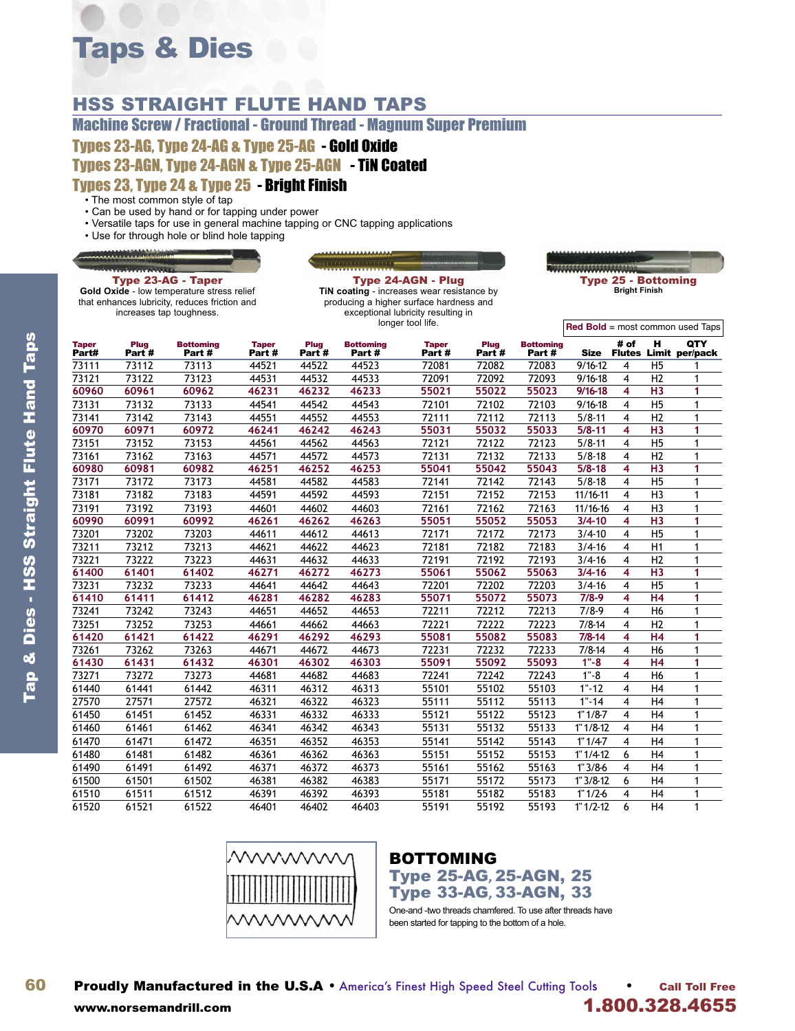# Taps & Dies

## HSS STRAIGHT FLUTE HAND TAPS

Machine Screw / Fractional - Ground Thread - Magnum Super Premium

Types 23-AG, Type 24-AG & Type 25-AG - Gold Oxide

Types 23-AGN, Type 24-AGN & Type 25-AGN - TiN Coated

#### Types 23, Type 24 & Type 25 - Bright Finish

- The most common style of tap
- Can be used by hand or for tapping under power
- Versatile taps for use in general machine tapping or CNC tapping applications
- Use for through hole or blind hole tapping

Type 23-AG - Taper **Gold Oxide** - low temperature stress relief that enhances lubricity, reduces friction and increases tap toughness.

Type 24-AGN - Plug **TiN coating** - increases wear resistance by producing a higher surface hardness and exceptional lubricity resulting in longer tool life.

WWW.WWW.WW Type 25 - Bottoming **Bright Finish**

|                       |                           |                            |                        |                      |                            | longer tool life.     |                |                           |             |                         |                | <b>Red Bold</b> = most common used Taps |
|-----------------------|---------------------------|----------------------------|------------------------|----------------------|----------------------------|-----------------------|----------------|---------------------------|-------------|-------------------------|----------------|-----------------------------------------|
| <b>Taper</b><br>Part# | Plug<br>Part <sup>#</sup> | <b>Bottoming</b><br>Part # | <b>Taper</b><br>Part # | <b>Plug</b><br>Part# | <b>Bottoming</b><br>Part # | <b>Taper</b><br>Part# | Plug<br>Part # | <b>Bottoming</b><br>Part# | <b>Size</b> | # of                    | н              | QTY<br><b>Flutes Limit per/pack</b>     |
| 73111                 | 73112                     | 73113                      | 44521                  | 44522                | 44523                      | 72081                 | 72082          | 72083                     | $9/16 - 12$ | 4                       | H <sub>5</sub> |                                         |
| 73121                 | 73122                     | 73123                      | 44531                  | 44532                | 44533                      | 72091                 | 72092          | 72093                     | $9/16 - 18$ | 4                       | H2             |                                         |
| 60960                 | 60961                     | 60962                      | 46231                  | 46232                | 46233                      | 55021                 | 55022          | 55023                     | $9/16 - 18$ | 4                       | H <sub>3</sub> | 1                                       |
| 73131                 | 73132                     | 73133                      | 44541                  | 44542                | 44543                      | 72101                 | 72102          | 72103                     | $9/16 - 18$ | 4                       | H <sub>5</sub> | 1                                       |
| 73141                 | 73142                     | 73143                      | 44551                  | 44552                | 44553                      | 72111                 | 72112          | 72113                     | $5/8 - 11$  | 4                       | H2             | 1                                       |
| 60970                 | 60971                     | 60972                      | 46241                  | 46242                | 46243                      | 55031                 | 55032          | 55033                     | $5/8 - 11$  | 4                       | H <sub>3</sub> | 1                                       |
| 73151                 | 73152                     | 73153                      | 44561                  | 44562                | 44563                      | 72121                 | 72122          | 72123                     | $5/8 - 11$  | $\overline{4}$          | H <sub>5</sub> | 1                                       |
| 73161                 | 73162                     | 73163                      | 44571                  | 44572                | 44573                      | 72131                 | 72132          | 72133                     | $5/8 - 18$  | 4                       | H2             | 1                                       |
| 60980                 | 60981                     | 60982                      | 46251                  | 46252                | 46253                      | 55041                 | 55042          | 55043                     | $5/8 - 18$  | 4                       | H <sub>3</sub> | 1                                       |
| 73171                 | 73172                     | 73173                      | 44581                  | 44582                | 44583                      | 72141                 | 72142          | 72143                     | $5/8 - 18$  | 4                       | H <sub>5</sub> | 1                                       |
| 73181                 | 73182                     | 73183                      | 44591                  | 44592                | 44593                      | 72151                 | 72152          | 72153                     | 11/16-11    | 4                       | H <sub>3</sub> | 1                                       |
| 73191                 | 73192                     | 73193                      | 44601                  | 44602                | 44603                      | 72161                 | 72162          | 72163                     | $11/16-16$  | 4                       | H <sub>3</sub> | 1                                       |
| 60990                 | 60991                     | 60992                      | 46261                  | 46262                | 46263                      | 55051                 | 55052          | 55053                     | $3/4 - 10$  | 4                       | H <sub>3</sub> | 1                                       |
| 73201                 | 73202                     | 73203                      | 44611                  | 44612                | 44613                      | 72171                 | 72172          | 72173                     | $3/4 - 10$  | 4                       | H <sub>5</sub> | 1                                       |
| 73211                 | 73212                     | 73213                      | 44621                  | 44622                | 44623                      | 72181                 | 72182          | 72183                     | $3/4 - 16$  | 4                       | H1             | 1                                       |
| 73221                 | 73222                     | 73223                      | 44631                  | 44632                | 44633                      | 72191                 | 72192          | 72193                     | $3/4 - 16$  | 4                       | H2             | 1                                       |
| 61400                 | 61401                     | 61402                      | 46271                  | 46272                | 46273                      | 55061                 | 55062          | 55063                     | $3/4 - 16$  | 4                       | H <sub>3</sub> | 1                                       |
| 73231                 | 73232                     | 73233                      | 44641                  | 44642                | 44643                      | 72201                 | 72202          | 72203                     | $3/4 - 16$  | 4                       | H <sub>5</sub> | 1                                       |
| 61410                 | 61411                     | 61412                      | 46281                  | 46282                | 46283                      | 55071                 | 55072          | 55073                     | $7/8-9$     | 4                       | H <sub>4</sub> | 1                                       |
| 73241                 | 73242                     | 73243                      | 44651                  | 44652                | 44653                      | 72211                 | 72212          | 72213                     | $7/8-9$     | 4                       | H <sub>6</sub> | 1                                       |
| 73251                 | 73252                     | 73253                      | 44661                  | 44662                | 44663                      | 72221                 | 72222          | 72223                     | $7/8 - 14$  | 4                       | H <sub>2</sub> | 1                                       |
| 61420                 | 61421                     | 61422                      | 46291                  | 46292                | 46293                      | 55081                 | 55082          | 55083                     | $7/8 - 14$  | 4                       | H <sub>4</sub> | 1                                       |
| 73261                 | 73262                     | 73263                      | 44671                  | 44672                | 44673                      | 72231                 | 72232          | 72233                     | $7/8 - 14$  | 4                       | H <sub>6</sub> | 1                                       |
| 61430                 | 61431                     | 61432                      | 46301                  | 46302                | 46303                      | 55091                 | 55092          | 55093                     | $1 - 8$     | 4                       | H <sub>4</sub> | 1                                       |
| 73271                 | 73272                     | 73273                      | 44681                  | 44682                | 44683                      | 72241                 | 72242          | 72243                     | $1 - 8$     | 4                       | H <sub>6</sub> |                                         |
| 61440                 | 61441                     | 61442                      | 46311                  | 46312                | 46313                      | 55101                 | 55102          | 55103                     | $1 - 12$    | 4                       | H <sub>4</sub> | 1                                       |
| 27570                 | 27571                     | 27572                      | 46321                  | 46322                | 46323                      | 55111                 | 55112          | 55113                     | $1 - 14$    | 4                       | H <sub>4</sub> | 1                                       |
| 61450                 | 61451                     | 61452                      | 46331                  | 46332                | 46333                      | 55121                 | 55122          | 55123                     | $1" 1/8-7$  | 4                       | H <sub>4</sub> |                                         |
| 61460                 | 61461                     | 61462                      | 46341                  | 46342                | 46343                      | 55131                 | 55132          | 55133                     | $1" 1/8-12$ | 4                       | H <sub>4</sub> | 1                                       |
| 61470                 | 61471                     | 61472                      | 46351                  | 46352                | 46353                      | 55141                 | 55142          | 55143                     | $1" 1/4-7$  | $\overline{\mathbf{4}}$ | H <sub>4</sub> |                                         |
| 61480                 | 61481                     | 61482                      | 46361                  | 46362                | 46363                      | 55151                 | 55152          | 55153                     | $1" 1/4-12$ | 6                       | H <sub>4</sub> | 1                                       |
| 61490                 | 61491                     | 61492                      | 46371                  | 46372                | 46373                      | 55161                 | 55162          | 55163                     | $1"3/8-6$   | 4                       | H <sub>4</sub> | 1                                       |
| 61500                 | 61501                     | 61502                      | 46381                  | 46382                | 46383                      | 55171                 | 55172          | 55173                     | $1" 3/8-12$ | 6                       | H <sub>4</sub> |                                         |
| 61510                 | 61511                     | 61512                      | 46391                  | 46392                | 46393                      | 55181                 | 55182          | 55183                     | $1" 1/2-6$  | 4                       | H <sub>4</sub> |                                         |
| 61520                 | 61521                     | 61522                      | 46401                  | 46402                | 46403                      | 55191                 | 55192          | 55193                     | $1" 1/2-12$ | 6                       | H <sub>4</sub> | 1                                       |



# BOTTOMING

Type 25-AG, 25-AGN, 25 Type 33-AG , 33-AGN, 33

One-and -two threads chamfered. To use after threads have been started for tapping to the bottom of a hole.